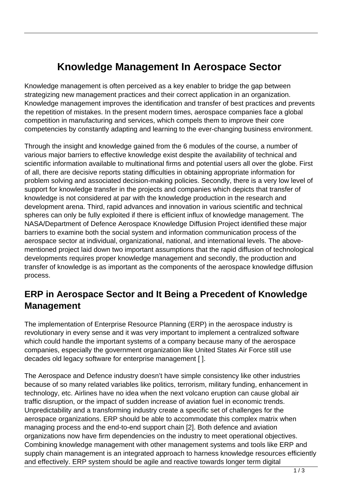## **Knowledge Management In Aerospace Sector**

Knowledge management is often perceived as a key enabler to bridge the gap between strategizing new management practices and their correct application in an organization. Knowledge management improves the identification and transfer of best practices and prevents the repetition of mistakes. In the present modern times, aerospace companies face a global competition in manufacturing and services, which compels them to improve their core competencies by constantly adapting and learning to the ever-changing business environment.

Through the insight and knowledge gained from the 6 modules of the course, a number of various major barriers to effective knowledge exist despite the availability of technical and scientific information available to multinational firms and potential users all over the globe. First of all, there are decisive reports stating difficulties in obtaining appropriate information for problem solving and associated decision-making policies. Secondly, there is a very low level of support for knowledge transfer in the projects and companies which depicts that transfer of knowledge is not considered at par with the knowledge production in the research and development arena. Third, rapid advances and innovation in various scientific and technical spheres can only be fully exploited if there is efficient influx of knowledge management. The NASA/Department of Defence Aerospace Knowledge Diffusion Project identified these major barriers to examine both the social system and information communication process of the aerospace sector at individual, organizational, national, and international levels. The abovementioned project laid down two important assumptions that the rapid diffusion of technological developments requires proper knowledge management and secondly, the production and transfer of knowledge is as important as the components of the aerospace knowledge diffusion process.

## **ERP in Aerospace Sector and It Being a Precedent of Knowledge Management**

The implementation of Enterprise Resource Planning (ERP) in the aerospace industry is revolutionary in every sense and it was very important to implement a centralized software which could handle the important systems of a company because many of the aerospace companies, especially the government organization like United States Air Force still use decades old legacy software for enterprise management [ ].

The Aerospace and Defence industry doesn't have simple consistency like other industries because of so many related variables like politics, terrorism, military funding, enhancement in technology, etc. Airlines have no idea when the next volcano eruption can cause global air traffic disruption, or the impact of sudden increase of aviation fuel in economic trends. Unpredictability and a transforming industry create a specific set of challenges for the aerospace organizations. ERP should be able to accommodate this complex matrix when managing process and the end-to-end support chain [2]. Both defence and aviation organizations now have firm dependencies on the industry to meet operational objectives. Combining knowledge management with other management systems and tools like ERP and supply chain management is an integrated approach to harness knowledge resources efficiently and effectively. ERP system should be agile and reactive towards longer term digital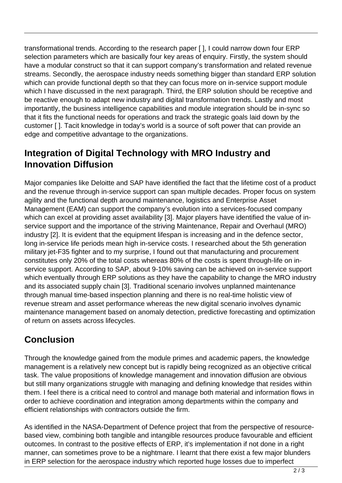transformational trends. According to the research paper [ ], I could narrow down four ERP selection parameters which are basically four key areas of enquiry. Firstly, the system should have a modular construct so that it can support company's transformation and related revenue streams. Secondly, the aerospace industry needs something bigger than standard ERP solution which can provide functional depth so that they can focus more on in-service support module which I have discussed in the next paragraph. Third, the ERP solution should be receptive and be reactive enough to adapt new industry and digital transformation trends. Lastly and most importantly, the business intelligence capabilities and module integration should be in-sync so that it fits the functional needs for operations and track the strategic goals laid down by the customer [ ]. Tacit knowledge in today's world is a source of soft power that can provide an edge and competitive advantage to the organizations.

## **Integration of Digital Technology with MRO Industry and Innovation Diffusion**

Major companies like Deloitte and SAP have identified the fact that the lifetime cost of a product and the revenue through in-service support can span multiple decades. Proper focus on system agility and the functional depth around maintenance, logistics and Enterprise Asset Management (EAM) can support the company's evolution into a services-focused company which can excel at providing asset availability [3]. Major players have identified the value of inservice support and the importance of the striving Maintenance, Repair and Overhaul (MRO) industry [2]. It is evident that the equipment lifespan is increasing and in the defence sector, long in-service life periods mean high in-service costs. I researched about the 5th generation military jet-F35 fighter and to my surprise, I found out that manufacturing and procurement constitutes only 20% of the total costs whereas 80% of the costs is spent through-life on inservice support. According to SAP, about 9-10% saving can be achieved on in-service support which eventually through ERP solutions as they have the capability to change the MRO industry and its associated supply chain [3]. Traditional scenario involves unplanned maintenance through manual time-based inspection planning and there is no real-time holistic view of revenue stream and asset performance whereas the new digital scenario involves dynamic maintenance management based on anomaly detection, predictive forecasting and optimization of return on assets across lifecycles.

## **Conclusion**

Through the knowledge gained from the module primes and academic papers, the knowledge management is a relatively new concept but is rapidly being recognized as an objective critical task. The value propositions of knowledge management and innovation diffusion are obvious but still many organizations struggle with managing and defining knowledge that resides within them. I feel there is a critical need to control and manage both material and information flows in order to achieve coordination and integration among departments within the company and efficient relationships with contractors outside the firm.

As identified in the NASA-Department of Defence project that from the perspective of resourcebased view, combining both tangible and intangible resources produce favourable and efficient outcomes. In contrast to the positive effects of ERP, it's implementation if not done in a right manner, can sometimes prove to be a nightmare. I learnt that there exist a few major blunders in ERP selection for the aerospace industry which reported huge losses due to imperfect